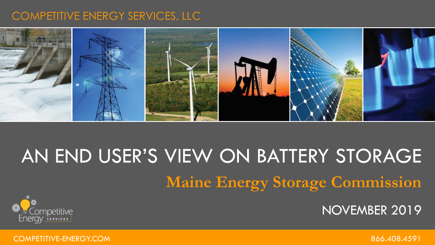### COMPETITIVE ENERGY SERVICES, LLC



## AN END USER'S VIEW ON BATTERY STORAGE **Maine Energy Storage Commission**





COMPETITIVE-ENERGY.COM 866.408.4591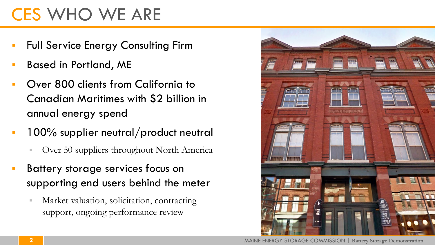## CES WHO WE ARE

- Full Service Energy Consulting Firm
- Based in Portland, ME
- Over 800 clients from California to Canadian Maritimes with \$2 billion in annual energy spend
- 100% supplier neutral/product neutral
	- Over 50 suppliers throughout North America
- Battery storage services focus on supporting end users behind the meter
	- Market valuation, solicitation, contracting support, ongoing performance review

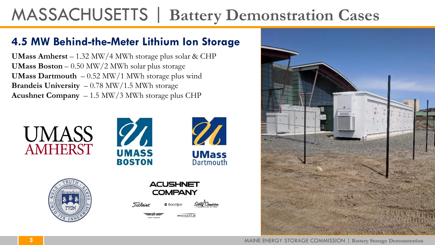## MASSACHUSETTS | **Battery Demonstration Cases**

### **4.5 MW Behind-the-Meter Lithium Ion Storage**

**UMass Amherst** – 1.32 MW/4 MWh storage plus solar & CHP **UMass Boston** – 0.50 MW/2 MWh solar plus storage **UMass Dartmouth** – 0.52 MW/1 MWh storage plus wind **Brandeis University** – 0.78 MW/1.5 MWh storage **Acushnet Company** – 1.5 MW/3 MWh storage plus CHP











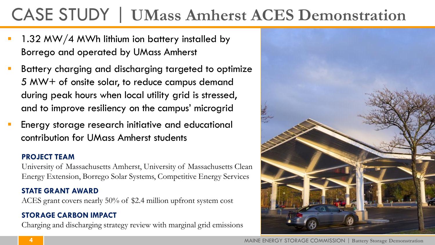## CASE STUDY | **UMass Amherst ACES Demonstration**

- 1.32 MW/4 MWh lithium ion battery installed by Borrego and operated by UMass Amherst
- Battery charging and discharging targeted to optimize 5 MW+ of onsite solar, to reduce campus demand during peak hours when local utility grid is stressed, and to improve resiliency on the campus' microgrid
- Energy storage research initiative and educational contribution for UMass Amherst students

#### **PROJECT TEAM**

University of Massachusetts Amherst, University of Massachusetts Clean Energy Extension, Borrego Solar Systems, Competitive Energy Services

#### **STATE GRANT AWARD**

ACES grant covers nearly 50% of \$2.4 million upfront system cost

#### **STORAGE CARBON IMPACT**

Charging and discharging strategy review with marginal grid emissions

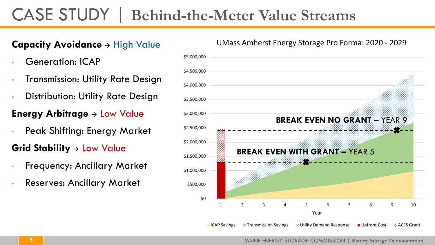### CASE STUDY | **Behind-the-Meter Value Streams**

#### **Capacity Avoidance**  $\rightarrow$  High Value

- Generation: ICAP
- Transmission: Utility Rate Design
- Distribution: Utility Rate Design

#### **Energy Arbitrage**  $\rightarrow$  Low Value

• Peak Shifting: Energy Market

#### **Grid Stability**  $\rightarrow$  Low Value

- Frequency: Ancillary Market
- Reserves: Ancillary Market



#### UMass Amherst Energy Storage Pro Forma: 2020 - 2029

MAINE ENERGY STORAGE COMMISSION | **Battery Storage Demonstration**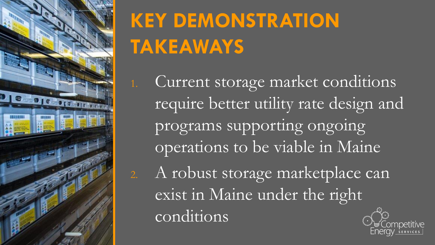

# **KEY DEMONSTRATION TAKEAWAYS**

1. Current storage market conditions require better utility rate design and programs supporting ongoing operations to be viable in Maine 2. A robust storage marketplace can exist in Maine under the right conditions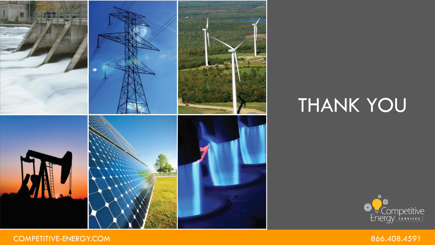

## THANK YOU



COMPETITIVE-ENERGY.COM **866.408.4591**